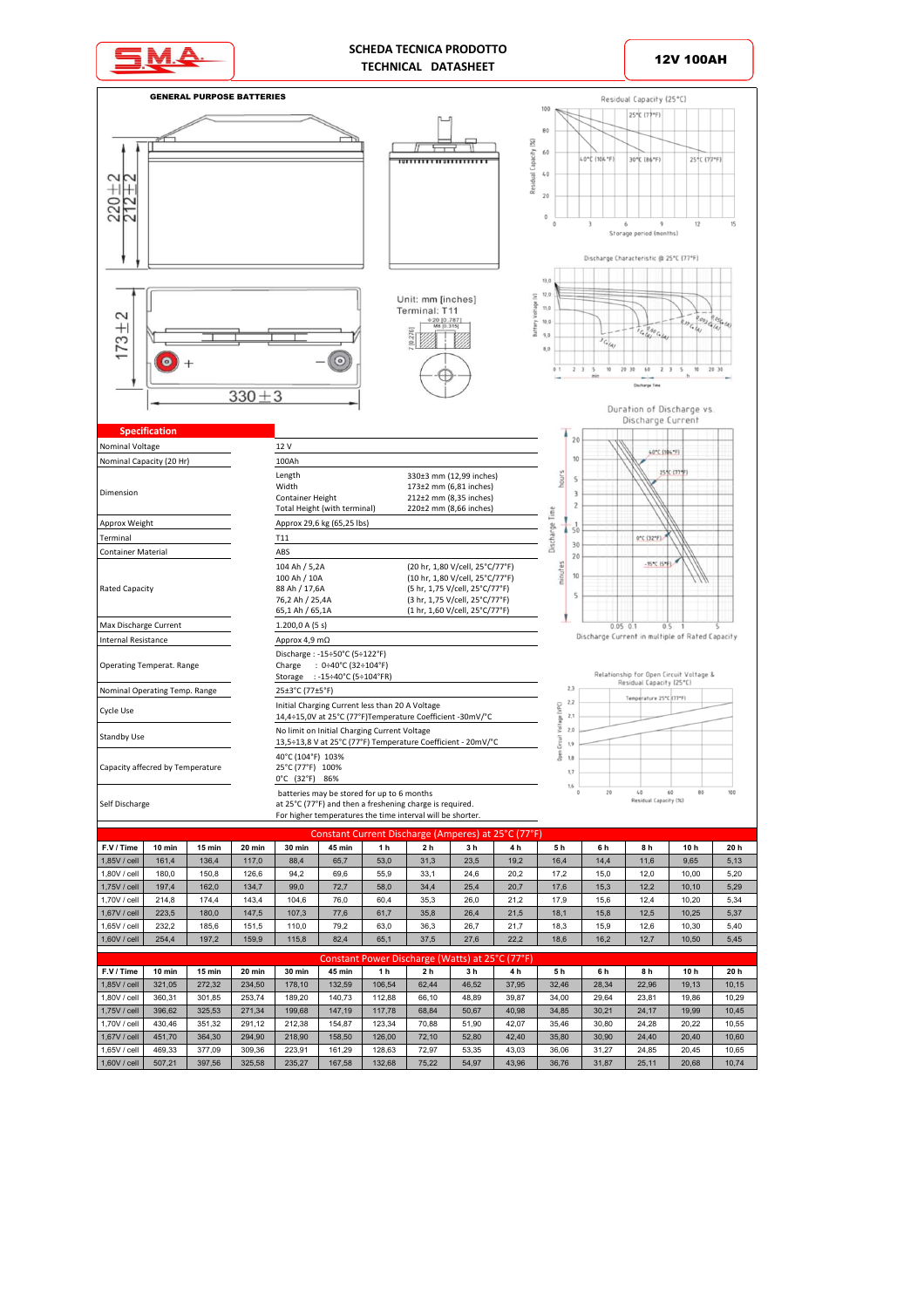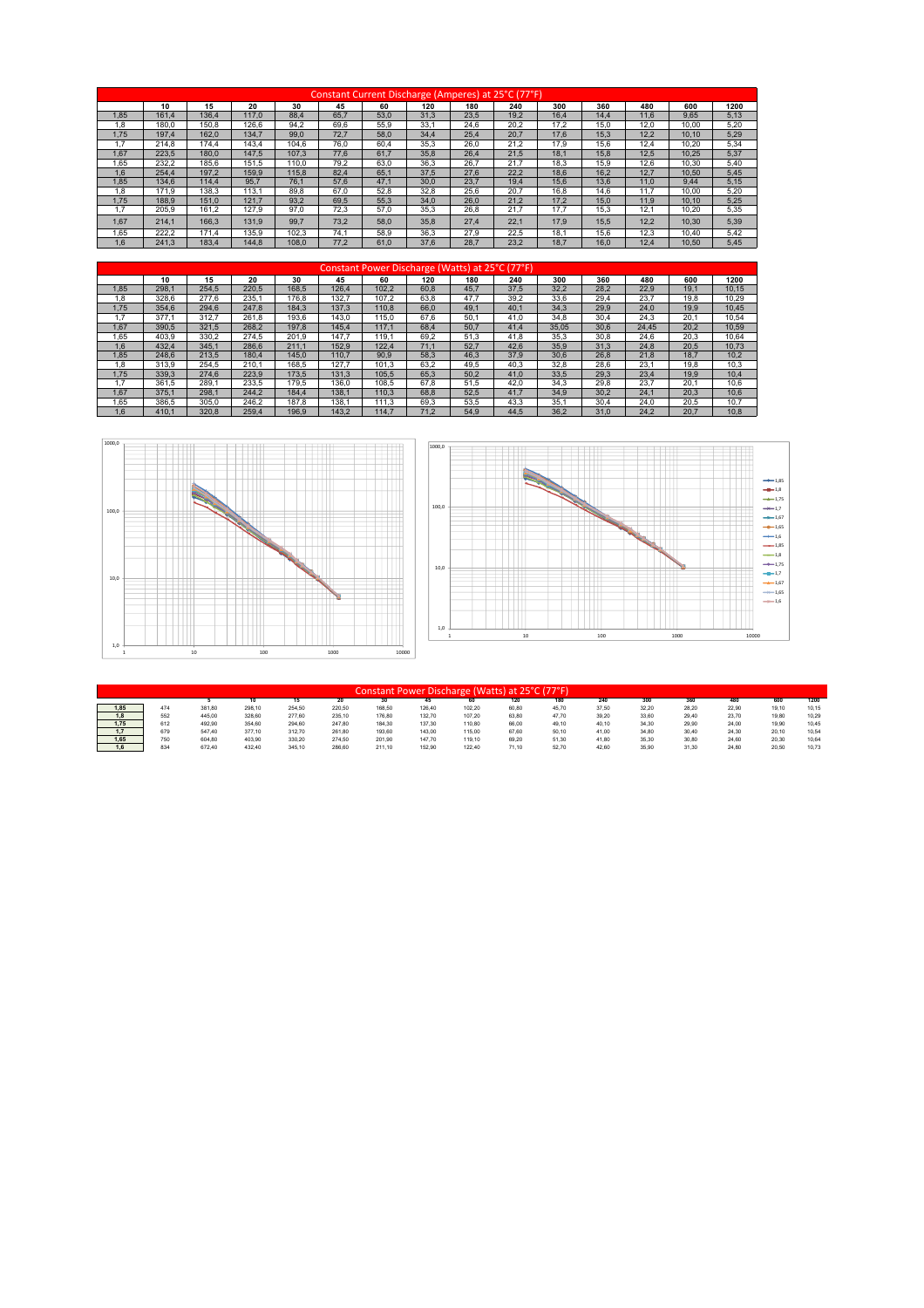|      |       |       |       |       | Constant Current Discharge (Amperes) at 25°C (77°F) |      |      |      |      |      |      |      |       |      |
|------|-------|-------|-------|-------|-----------------------------------------------------|------|------|------|------|------|------|------|-------|------|
|      | 10    | 15    | 20    | 30    | 45                                                  | 60   | 120  | 180  | 240  | 300  | 360  | 480  | 600   | 1200 |
| 1.85 | 161.4 | 136.4 | 117.0 | 88.4  | 65.7                                                | 53.0 | 31.3 | 23.5 | 19.2 | 16.4 | 14.4 | 11.6 | 9.65  | 5,13 |
| 1.8  | 180.0 | 150.8 | 126.6 | 94.2  | 69.6                                                | 55.9 | 33.1 | 24.6 | 20.2 | 17.2 | 15.0 | 12.0 | 10.00 | 5.20 |
| 1.75 | 197.4 | 162.0 | 134.7 | 99.0  | 72.7                                                | 58.0 | 34.4 | 25.4 | 20.7 | 17.6 | 15.3 | 12.2 | 10.10 | 5.29 |
| 1.7  | 214.8 | 174.4 | 143.4 | 104.6 | 76.0                                                | 60.4 | 35.3 | 26.0 | 21,2 | 17.9 | 15.6 | 12.4 | 10.20 | 5,34 |
| 1.67 | 223.5 | 180.0 | 147.5 | 107.3 | 77.6                                                | 61.7 | 35.8 | 26.4 | 21.5 | 18.1 | 15.8 | 12.5 | 10.25 | 5,37 |
| 1.65 | 232.2 | 185.6 | 151.5 | 110.0 | 79.2                                                | 63.0 | 36,3 | 26.7 | 21.7 | 18.3 | 15,9 | 12.6 | 10.30 | 5,40 |
| 1.6  | 254.4 | 197.2 | 159.9 | 115.8 | 82.4                                                | 65,1 | 37.5 | 27.6 | 22,2 | 18.6 | 16,2 | 12.7 | 10.50 | 5,45 |
| 1.85 | 134.6 | 114.4 | 95.7  | 76.1  | 57.6                                                | 47.1 | 30.0 | 23.7 | 19.4 | 15.6 | 13.6 | 11.0 | 9.44  | 5,15 |
| 1.8  | 171.9 | 138.3 | 113.1 | 89.8  | 67.0                                                | 52.8 | 32.8 | 25.6 | 20.7 | 16.8 | 14.6 | 11.7 | 10.00 | 5,20 |
| 1.75 | 188.9 | 151.0 | 121.7 | 93.2  | 69,5                                                | 55,3 | 34.0 | 26,0 | 21,2 | 17.2 | 15,0 | 11.9 | 10.10 | 5,25 |
|      | 205.9 | 161.2 | 127.9 | 97.0  | 72.3                                                | 57.0 | 35.3 | 26.8 | 21.7 | 17.7 | 15,3 | 12.1 | 10.20 | 5,35 |
| 1.67 | 214.1 | 166.3 | 131.9 | 99.7  | 73.2                                                | 58.0 | 35.8 | 27.4 | 22.1 | 17.9 | 15.5 | 12.2 | 10.30 | 5,39 |
| 1.65 | 222.2 | 171.4 | 135.9 | 102.3 | 74.1                                                | 58.9 | 36.3 | 27.9 | 22,5 | 18.1 | 15.6 | 12.3 | 10.40 | 5.42 |
| 1.6  | 241.3 | 183.4 | 144.8 | 108.0 | 77.2                                                | 61.0 | 37.6 | 28.7 | 23.2 | 18.7 | 16.0 | 12.4 | 10.50 | 5.45 |

|      |       |       |       |       |       |       | Constant Power Discharge (Watts) at 25°C (77°F) |      |      |       |      |       |      |       |
|------|-------|-------|-------|-------|-------|-------|-------------------------------------------------|------|------|-------|------|-------|------|-------|
|      | 10    | 15    | 20    | 30    | 45    | 60    | 120                                             | 180  | 240  | 300   | 360  | 480   | 600  | 1200  |
| 1.85 | 298.1 | 254.5 | 220.5 | 168.5 | 126.4 | 102.2 | 60.8                                            | 45.7 | 37.5 | 32.2  | 28.2 | 22.9  | 19.1 | 10.15 |
| .8   | 328.6 | 277.6 | 235.1 | 176.8 | 132.7 | 107,2 | 63,8                                            | 47.7 | 39,2 | 33,6  | 29,4 | 23.7  | 19,8 | 10,29 |
| 1.75 | 354.6 | 294.6 | 247.8 | 184.3 | 137.3 | 110.8 | 66.0                                            | 49.1 | 40.1 | 34.3  | 29.9 | 24.0  | 19.9 | 10.45 |
|      | 377.1 | 312.7 | 261.8 | 193.6 | 143.0 | 115.0 | 67.6                                            | 50.1 | 41.0 | 34.8  | 30.4 | 24.3  | 20.1 | 10.54 |
| 1.67 | 390.5 | 321.5 | 268.2 | 197.8 | 145.4 | 117.1 | 68.4                                            | 50.7 | 41.4 | 35.05 | 30.6 | 24.45 | 20.2 | 10,59 |
| 1.65 | 403.9 | 330.2 | 274.5 | 201.9 | 147.7 | 119.1 | 69.2                                            | 51.3 | 41,8 | 35.3  | 30,8 | 24.6  | 20,3 | 10,64 |
| 1.6  | 432.4 | 345.1 | 286.6 | 211.1 | 152.9 | 122.4 | 71.1                                            | 52.7 | 42.6 | 35.9  | 31.3 | 24.8  | 20.5 | 10.73 |
| 1.85 | 248.6 | 213.5 | 180.4 | 145.0 | 110.7 | 90.9  | 58,3                                            | 46.3 | 37,9 | 30.6  | 26,8 | 21.8  | 18.7 | 10,2  |
| 1,8  | 313.9 | 254.5 | 210.1 | 168.5 | 127.7 | 101.3 | 63.2                                            | 49.5 | 40,3 | 32.8  | 28,6 | 23.1  | 19.8 | 10,3  |
| 1.75 | 339.3 | 274.6 | 223.9 | 173.5 | 131.3 | 105.5 | 65,3                                            | 50,2 | 41.0 | 33.5  | 29.3 | 23.4  | 19.9 | 10.4  |
|      | 361.5 | 289.1 | 233.5 | 179.5 | 136.0 | 108.5 | 67.8                                            | 51,5 | 42,0 | 34.3  | 29,8 | 23.7  | 20.1 | 10,6  |
| 1.67 | 375.1 | 298.1 | 244.2 | 184.4 | 138.1 | 110.3 | 68.8                                            | 52,5 | 41.7 | 34.9  | 30,2 | 24.1  | 20,3 | 10,6  |
| 1.65 | 386.5 | 305.0 | 246.2 | 187.8 | 138.1 | 111.3 | 69.3                                            | 53.5 | 43.3 | 35.1  | 30.4 | 24.0  | 20.5 | 10.7  |
| 1.6  | 410.1 | 320.8 | 259.4 | 196.9 | 143.2 | 114.7 | 71.2                                            | 54.9 | 44.5 | 36.2  | 31.0 | 24.2  | 20.7 | 10.8  |





|      |     |        |        |        |        |        | Constant Power Discharge (Watts) at 2 |        | 25°C  | (77°F) |       |       |       |       |       |       |
|------|-----|--------|--------|--------|--------|--------|---------------------------------------|--------|-------|--------|-------|-------|-------|-------|-------|-------|
|      |     |        |        |        | 20     | w      | 45                                    | 60     | 120   | 180    | 240   | 300   | 360   | 480   | 600   | 1200  |
| 1.85 | 474 | 381.80 | 298,10 | 254.50 | 220.50 | 168.50 | 126,40                                | 102,20 | 60.80 | 45.70  | 37,50 | 32,20 | 28.20 | 22,90 | 19,10 | 10,15 |
| 1,8  | 552 | 445.00 | 328.60 | 277.60 | 235.10 | 176.80 | 132.70                                | 107.20 | 63.80 | 47.70  | 39.20 | 33.60 | 29.40 | 23.70 | 19,80 | 10.29 |
| 1.75 | 612 | 492.90 | 354.60 | 294.60 | 247.80 | 184.30 | 137,30                                | 110.80 | 66.00 | 49.10  | 40.10 | 34,30 | 29.90 | 24.00 | 19,90 | 10.45 |
| 1,7  | 679 | 547.40 | 377.10 | 312.70 | 261.80 | 193.60 | 143.00                                | 115.00 | 67.60 | 50.10  | 41.00 | 34.80 | 30.40 | 24.30 | 20.10 | 10.54 |
| 1.65 | 750 | 604.80 | 403.90 | 330.20 | 274.50 | 201.90 | 147.70                                | 119.10 | 69.20 | 51.30  | 41.80 | 35.30 | 30.80 | 24.60 | 20.30 | 10.64 |
| 1.6  | 834 | 672.40 | 432.40 | 345.10 | 286.60 | 211.10 | 152,90                                | 122.40 | 71.10 | 52.70  | 42.60 | 35,90 | 31.30 | 24.80 | 20.50 | 10.73 |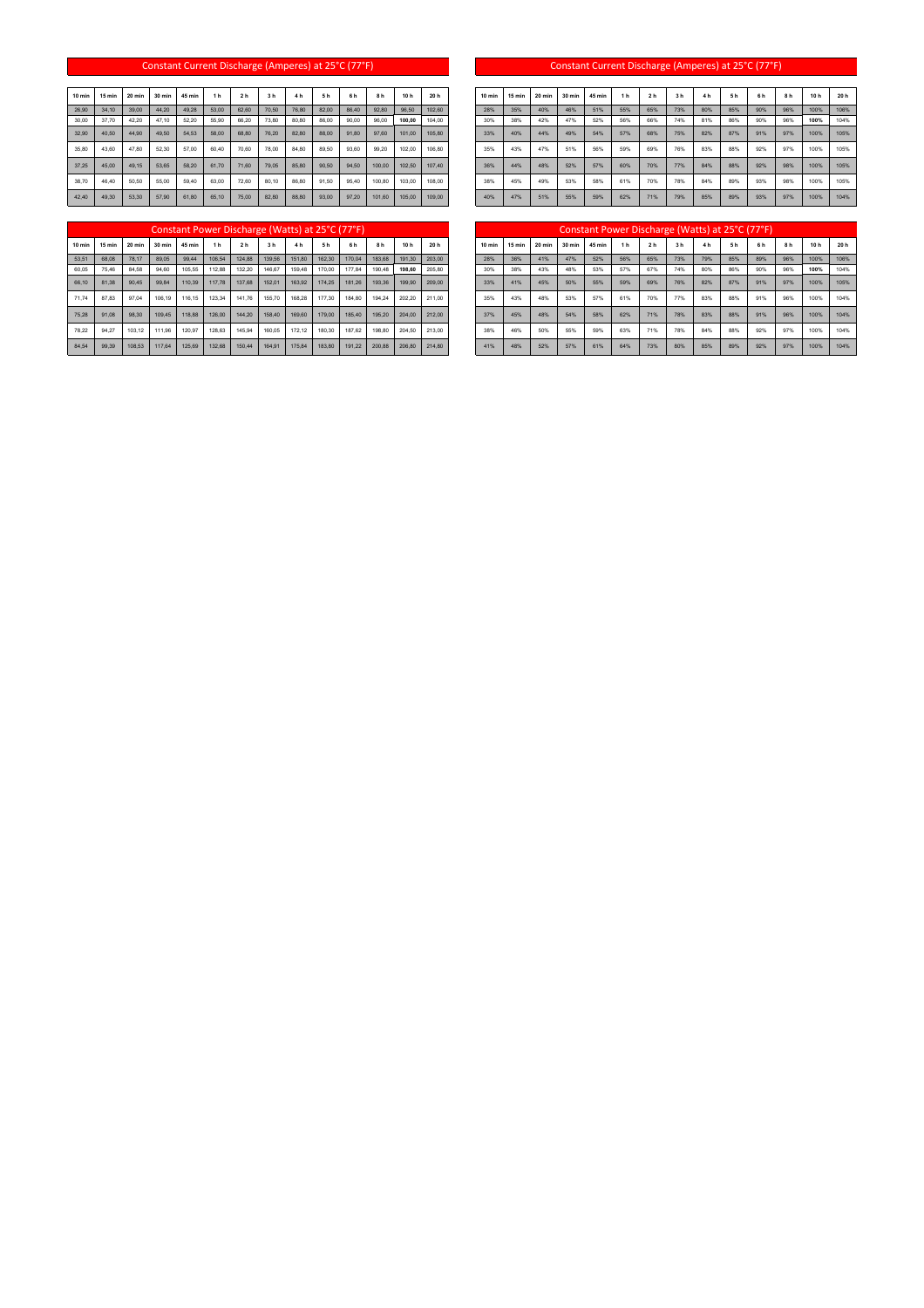## Constant Current Discharge (Amperes) at 25°C (77°F) Constant Current Discharge (Amperes) at 25°C (77°F)

| 10 min | 15 min | 20 min | 30 min | 45 min | 1 <sub>h</sub> | 2 <sub>h</sub> | 3 <sub>h</sub> | 4 h   | 5 h   | 6 <sub>h</sub> | 8 h    | 10h    | 20 h   | 10 min | 15 min | 20 min | 30 min | 45 min | 1 <sub>h</sub> | 2 <sub>h</sub> | 3 h | 4 <sub>h</sub> | 5 <sub>h</sub> | 6 h | 8h  | 10h  | 20 h |
|--------|--------|--------|--------|--------|----------------|----------------|----------------|-------|-------|----------------|--------|--------|--------|--------|--------|--------|--------|--------|----------------|----------------|-----|----------------|----------------|-----|-----|------|------|
| 26,90  | 34.10  | 39.00  | 44.20  | 49.28  | 53.00          | 62.60          | 70.50          | 76.80 | 82.00 | 86.40          | 92.80  | 96.50  | 102.60 | 28%    | 35%    | 40%    | 46%    | 51%    | 55%            | 65%            | 73% | 80%            | 85%            | 90% | 96% | 100% | 1069 |
| 30.00  | 37.70  | 42.20  | 47.10  | 52.20  | 55.90          | 66.20          | 73.80          | 80.80 | 86.00 | 90.00          | 96.00  | 100,00 | 104.00 | 30%    | 38%    | 42%    | 47%    | 52%    | 56%            | 66%            | 74% | 81%            | 86%            | 90% | 96% | 100% | 1049 |
| 32.90  | 40.50  | 44.90  | 49.50  | 54.53  | 58.00          | 68.80          | 76.20          | 82.80 | 88.00 | 91.80          | 97.60  | 101.00 | 105.80 | 33%    | 40%    | 44%    | 49%    | 54%    | 57%            | 68%            | 75% | 82%            | 87%            | 91% | 97% | 100% | 1059 |
| 35.80  | 43.60  | 47.80  | 52.30  | 57.00  | 60.40          | 70.60          | 78.00          | 84.80 | 89.50 | 93.60          | 99.20  | 102.00 | 106.80 | 35%    | 43%    | 47%    | 51%    | 56%    | 59%            | 69%            | 76% | 83%            | 88%            | 92% | 97% | 100% | 1059 |
| 37.25  | 45.00  | 49.15  | 53.65  | 58.20  | 61.70          | 71.60          | 79.05          | 85.80 | 90.50 | 94.50          | 100.00 | 102.50 | 107.40 | 36%    | 44%    | 48%    | 52%    | 57%    | 60%            | 70%            | 77% | 84%            | 88%            | 92% | 98% | 100% | 1059 |
| 38,70  | 46.40  | 50.50  | 55.00  | 59,40  | 63.00          | 72.60          | 80.10          | 86.80 | 91.50 | 95,40          | 100.80 | 103.00 | 108,00 | 38%    | 45%    | 49%    | 53%    | 58%    | 61%            | 70%            | 78% | 84%            | 89%            | 93% | 98% | 100% | 1059 |
| 42,40  | 49.30  | 53.30  | 57.90  | 61.80  | 65.10          | 75.00          | 82.80          | 88.80 | 93,00 | 97.20          | 101.60 | 105,00 | 109.00 | 40%    | 47%    | 51%    | 55%    | 59%    | 62%            | 71%            | 79% | 85%            | 89%            | 93% | 97% | 100% | 1049 |

| $0 \text{ min}$ | 15 min | 20 min | 30 min | 45 min | 1 <sub>h</sub> | 2 <sub>h</sub> | 3 <sub>h</sub> | 4 <sub>h</sub> | 5 h   | 6 h   | 8 h    | 10 h   | 20 h   | $10$ min | 15 min | 20 min | 30 min | 45 min | 1 <sub>h</sub> | 2 <sub>h</sub> | 3 <sub>h</sub> | 4h  | 5 <sub>h</sub> | 6 h | 8 h | 10h  | 20 h |
|-----------------|--------|--------|--------|--------|----------------|----------------|----------------|----------------|-------|-------|--------|--------|--------|----------|--------|--------|--------|--------|----------------|----------------|----------------|-----|----------------|-----|-----|------|------|
| 26.90           | 34.10  | 39.00  | 44.20  | 49.28  | 53.00          | 62.60          | 70.50          | 76.80          | 82.00 | 86.40 | 92.80  | 96.50  | 102.60 | 28%      | 35%    | 40%    | 46%    | 51%    | 55%            | 65%            | 73%            | 80% | 85%            | 90% | 96% | 100% | 106% |
| 30.00           | 37.70  | 42.20  | 47.10  | 52.20  | 55.90          | 66.20          | 73.80          | 80.80          | 86.00 | 90.00 | 96.00  | 100.00 | 104.00 | 30%      | 38%    | 42%    | 47%    | 52%    | 56%            | 66%            | 74%            | 81% | 86%            | 90% | 96% | 100% | 104% |
| 32.90           | 40.50  | 44.90  | 49.50  | 54.53  | 58.00          | 68.80          | 76.20          | 82.80          | 88.00 | 91.80 | 97.60  | 101.00 | 105.80 | 33%      | 40%    | 44%    | 49%    | 54%    | 57%            | 68%            | 75%            | 82% | 87%            | 91% | 97% | 100% | 105% |
| 35.80           | 43.60  | 47.80  | 52.30  | 57.00  | 60.40          | 70.60          | 78.00          | 84.80          | 89.50 | 93.60 | 99.20  | 102.00 | 106.80 | 35%      | 43%    | 47%    | 51%    | 56%    | 59%            | 69%            | 76%            | 83% | 88%            | 92% | 97% | 100% | 105% |
| 37.25           | 45.00  | 49.15  | 53.65  | 58.20  | 61.70          | 71.60          | 79.05          | 85.80          | 90.50 | 94.50 | 100.00 | 102.50 | 107.40 | 36%      | 44%    | 48%    | 52%    | 57%    | 60%            | 70%            | 77%            | 84% | 88%            | 92% | 98% | 100% | 105% |
| 38.70           | 46.40  | 50.50  | 55.00  | 59.40  | 63.00          | 72.60          | 80.10          | 86.80          | 91.50 | 95.40 | 100.80 | 103.00 | 108.00 | 38%      | 45%    | 49%    | 53%    | 58%    | 61%            | 70%            | 78%            | 84% | 89%            | 93% | 98% | 100% | 105% |
| 42.40           | 49.30  | 53.30  | 57.90  | 61.80  | 65.10          | 75.00          | 82.80          | 88.80          | 93.00 | 97.20 | 101.60 | 105.00 | 109.00 | 40%      | 47%    | 51%    | 55%    | 59%    | 62%            | 71%            | 79%            | 85% | 89%            | 93% | 97% | 100% | 104% |

## **10 min 15 min 20 min 30 min 45 min 1 h 2 h 3 h 4 h 5 h 6 h 8 h 10 h 20 h 10 min 15 min 20 min 30 min 45 min 1 h 2 h 3 h 4 h 5 h 6 h 8 h 10 h 20 h** Constant Power Discharge (Watts) at 25°C (77°F)

|                 |        |        |        |        |                |                |                | Constant Power Discharge (Watts) at 25°C (77°F) |                |                |        |                 |        |          |          |        |        | Constant Power Discharge (Watts) at 25°C (77°F) |                |                |                |                |                |                |     |      |      |
|-----------------|--------|--------|--------|--------|----------------|----------------|----------------|-------------------------------------------------|----------------|----------------|--------|-----------------|--------|----------|----------|--------|--------|-------------------------------------------------|----------------|----------------|----------------|----------------|----------------|----------------|-----|------|------|
| $0 \text{ min}$ | 15 min | 20 min | 30 min | 45 min | 1 <sub>h</sub> | 2 <sub>h</sub> | 3 <sub>h</sub> | 4 <sub>h</sub>                                  | 5 <sub>h</sub> | 6 <sub>h</sub> | 8h     | 10 <sub>h</sub> | 20 h   | $10$ min | $15$ min | 20 min | 30 min | 45 min                                          | 1 <sub>h</sub> | 2 <sub>h</sub> | 3 <sub>h</sub> | 4 <sub>h</sub> | 5 <sub>h</sub> | 6 <sub>h</sub> | 8h  | 10h  | 20 h |
| 53,51           | 68.08  | 78.17  | 89.05  | 99.44  | 106.54         | 124.88         | 139.56         | 151.80                                          | 162.30         | 170.04         | 183.68 | 191.30          | 203.00 | 28%      | 36%      | 41%    | 47%    | 52%                                             | 56%            | 65%            | 73%            | 79%            | 85%            | 89%            | 96% | 100% | 106% |
| 60.05           | 75.46  | 84.58  | 94.60  | 105.55 | 112.88         | 132.20         | 146.67         | 159.48                                          | 170.00         | 177.84         | 190.48 | 198,60          | 205.80 | 30%      | 38%      | 43%    | 48%    | 53%                                             | 57%            | 67%            | 74%            | 80%            | 86%            | 90%            | 96% | 100% | 104% |
| 66.10           | 81,38  | 90.45  | 99.84  | 110.39 | 117.78         | 137,68         | 152.01         | 163.92                                          | 174.25         | 181.26         | 193.36 | 199.90          | 209.00 | 33%      | 41%      | 45%    | 50%    | 55%                                             | 59%            | 69%            | 76%            | 82%            | 87%            | 91%            | 97% | 100% | 105% |
| 71.74           | 87.83  | 97.04  | 106.19 | 116.15 | 123.34         | 141.76         | 155.70         | 168.28                                          | 177.30         | 184.80         | 194.24 | 202.20          | 211.00 | 35%      | 43%      | 48%    | 53%    | 57%                                             | 61%            | 70%            | 77%            | 83%            | 88%            | 91%            | 96% | 100% | 104% |
| 75.28           | 91.08  | 98.30  | 109.45 | 118.88 | 126.00         | 144.20         | 158.40         | 169.60                                          | 179.00         | 185.40         | 195.20 | 204.00          | 212.00 | 37%      | 45%      | 48%    | 54%    | 58%                                             | 62%            | 71%            | 78%            | 83%            | 88%            | 91%            | 96% | 100% | 104% |
| 78.22           | 94.27  | 103.12 | 111.96 | 120.97 | 128.63         | 145.94         | 160.05         | 172.12                                          | 180.30         | 187.62         | 198.80 | 204.50          | 213.00 | 38%      | 46%      | 50%    | 55%    | 59%                                             | 63%            | 71%            | 78%            | 84%            | 88%            | 92%            | 97% | 100% | 104% |
| 84,54           | 99,39  | 108,53 | 117,64 | 125.69 | 132,68         | 150,44         | 164,91         | 175,84                                          | 183,80         | 191,22         | 200,88 | 206,80          | 214.80 | 41%      | 48%      | 52%    | 57%    | 61%                                             | 64%            | 73%            | 80%            | 85%            | 89%            | 92%            | 97% | 100% | 104% |